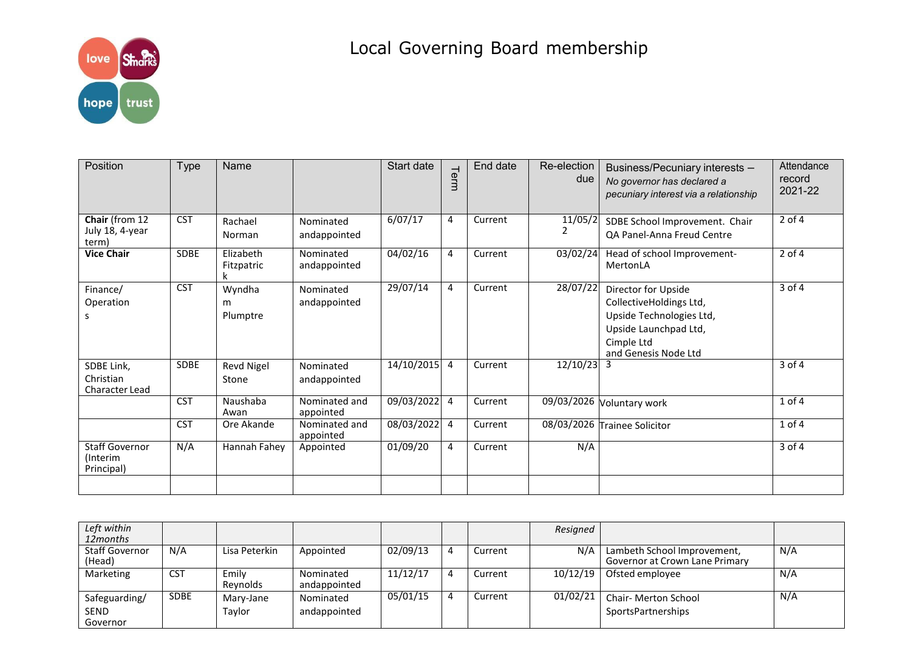

## Local Governing Board membership

| Position                                        | <b>Type</b> | Name                     |                            | Start date     | Term | End date | Re-election<br>due | Business/Pecuniary interests -<br>No governor has declared a<br>pecuniary interest via a relationship                                     | Attendance<br>record<br>2021-22 |
|-------------------------------------------------|-------------|--------------------------|----------------------------|----------------|------|----------|--------------------|-------------------------------------------------------------------------------------------------------------------------------------------|---------------------------------|
| Chair (from 12<br>July 18, 4-year<br>term)      | <b>CST</b>  | Rachael<br><b>Norman</b> | Nominated<br>andappointed  | 6/07/17        | 4    | Current  | 11/05/2            | SDBE School Improvement. Chair<br>QA Panel-Anna Freud Centre                                                                              | $2$ of $4$                      |
| <b>Vice Chair</b>                               | <b>SDBE</b> | Elizabeth<br>Fitzpatric  | Nominated<br>andappointed  | 04/02/16       | 4    | Current  | 03/02/24           | Head of school Improvement-<br>MertonLA                                                                                                   | $2$ of 4                        |
| Finance/<br>Operation<br>s                      | <b>CST</b>  | Wyndha<br>m<br>Plumptre  | Nominated<br>andappointed  | 29/07/14       | 4    | Current  | $\sqrt{28/07/22}$  | Director for Upside<br>CollectiveHoldings Ltd,<br>Upside Technologies Ltd,<br>Upside Launchpad Ltd,<br>Cimple Ltd<br>and Genesis Node Ltd | $3$ of $4$                      |
| SDBE Link,<br>Christian<br>Character Lead       | <b>SDBE</b> | Revd Nigel<br>Stone      | Nominated<br>andappointed  | $14/10/2015$ 4 |      | Current  | 12/10/23           | 3                                                                                                                                         | $3$ of 4                        |
|                                                 | <b>CST</b>  | Naushaba<br>Awan         | Nominated and<br>appointed | $09/03/2022$ 4 |      | Current  |                    | 09/03/2026 Voluntary work                                                                                                                 | $1$ of $4$                      |
|                                                 | <b>CST</b>  | Ore Akande               | Nominated and<br>appointed | 08/03/2022 4   |      | Current  |                    | 08/03/2026 Trainee Solicitor                                                                                                              | $1$ of $4$                      |
| <b>Staff Governor</b><br>(Interim<br>Principal) | N/A         | Hannah Fahey             | Appointed                  | 01/09/20       | 4    | Current  | N/A                |                                                                                                                                           | 3 of 4                          |
|                                                 |             |                          |                            |                |      |          |                    |                                                                                                                                           |                                 |

| Left within<br>12months                  |             |                     |                           |          |   |         | Resigned |                                                               |     |
|------------------------------------------|-------------|---------------------|---------------------------|----------|---|---------|----------|---------------------------------------------------------------|-----|
| <b>Staff Governor</b><br>(Head)          | N/A         | Lisa Peterkin       | Appointed                 | 02/09/13 | 4 | Current | N/A      | Lambeth School Improvement,<br>Governor at Crown Lane Primary | N/A |
| Marketing                                | <b>CST</b>  | Emily<br>Reynolds   | Nominated<br>andappointed | 11/12/17 | 4 | Current |          | $10/12/19$   Ofsted employee                                  | N/A |
| Safeguarding/<br><b>SEND</b><br>Governor | <b>SDBE</b> | Mary-Jane<br>Tavlor | Nominated<br>andappointed | 05/01/15 | 4 | Current | 01/02/21 | Chair- Merton School<br>SportsPartnerships                    | N/A |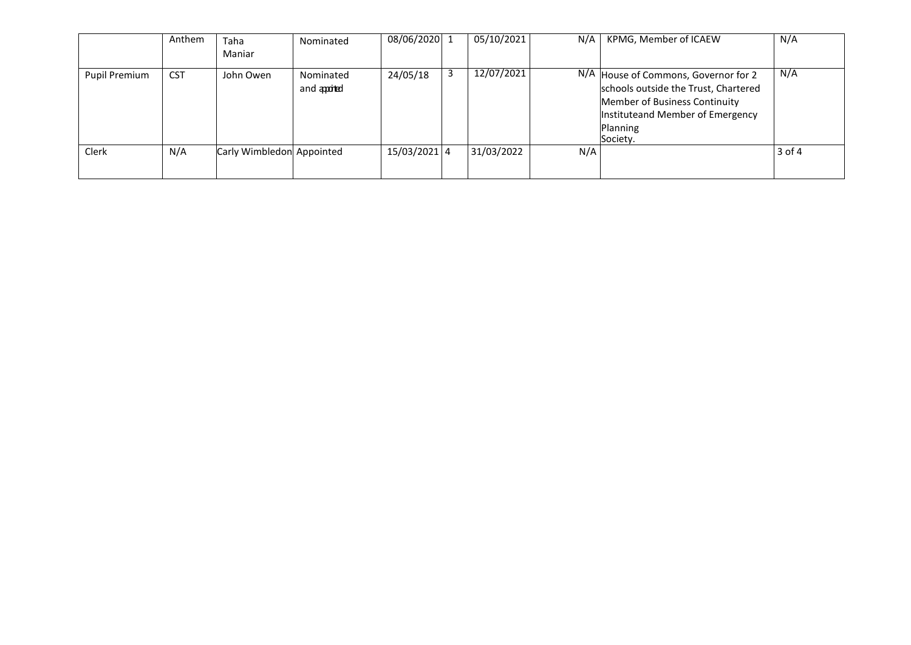|                      | Anthem     | Taha<br>Maniar            | Nominated                 | 08/06/2020 1 |   | 05/10/2021 | N/A | KPMG, Member of ICAEW                                                                                                                                                     | N/A    |
|----------------------|------------|---------------------------|---------------------------|--------------|---|------------|-----|---------------------------------------------------------------------------------------------------------------------------------------------------------------------------|--------|
| <b>Pupil Premium</b> | <b>CST</b> | John Owen                 | Nominated<br>and apported | 24/05/18     | 3 | 12/07/2021 |     | N/A House of Commons, Governor for 2<br>schools outside the Trust, Chartered<br>Member of Business Continuity<br>Instituteand Member of Emergency<br>Planning<br>Society. | N/A    |
| <b>Clerk</b>         | N/A        | Carly Wimbledon Appointed |                           | 15/03/2021 4 |   | 31/03/2022 | N/A |                                                                                                                                                                           | 3 of 4 |